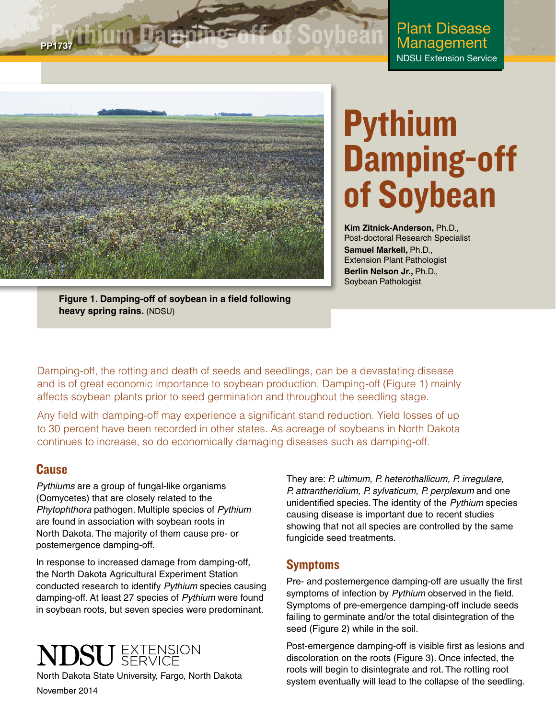## **PP1737 thium Dam**

Plant Disease Management NDSU Extension Service



# Pythium Damping-off of Soybean

**Kim Zitnick-Anderson,** Ph.D., Post-doctoral Research Specialist **Samuel Markell,** Ph.D., Extension Plant Pathologist **Berlin Nelson Jr.,** Ph.D., Soybean Pathologist

**Figure 1. Damping-off of soybean in a field following heavy spring rains.** (NDSU)

Damping-off, the rotting and death of seeds and seedlings, can be a devastating disease and is of great economic importance to soybean production. Damping-off (Figure 1) mainly affects soybean plants prior to seed germination and throughout the seedling stage.

Any field with damping-off may experience a significant stand reduction. Yield losses of up to 30 percent have been recorded in other states. As acreage of soybeans in North Dakota continues to increase, so do economically damaging diseases such as damping-off.

### **Cause**

*Pythiums* are a group of fungal-like organisms (Oomycetes) that are closely related to the *Phytophthora* pathogen. Multiple species of *Pythium*  are found in association with soybean roots in North Dakota. The majority of them cause pre- or postemergence damping-off.

In response to increased damage from damping-off, the North Dakota Agricultural Experiment Station conducted research to identify *Pythium* species causing damping-off. At least 27 species of *Pythium* were found in soybean roots, but seven species were predominant.



North Dakota State University, Fargo, North Dakota November 2014

They are: *P. ultimum, P. heterothallicum, P. irregulare, P. attrantheridium, P. sylvaticum, P. perplexum* and one unidentified species. The identity of the *Pythium* species causing disease is important due to recent studies showing that not all species are controlled by the same fungicide seed treatments.

### Symptoms

Pre- and postemergence damping-off are usually the first symptoms of infection by *Pythium* observed in the field. Symptoms of pre-emergence damping-off include seeds failing to germinate and/or the total disintegration of the seed (Figure 2) while in the soil.

Post-emergence damping-off is visible first as lesions and discoloration on the roots (Figure 3). Once infected, the roots will begin to disintegrate and rot. The rotting root system eventually will lead to the collapse of the seedling.